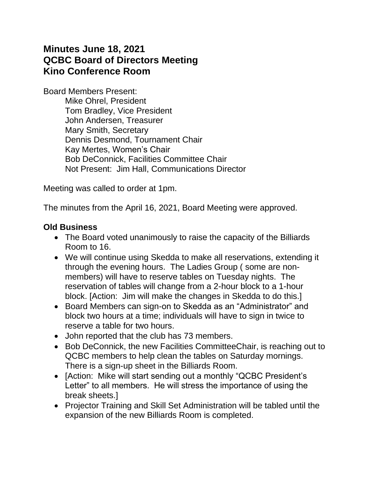# **Minutes June 18, 2021 QCBC Board of Directors Meeting Kino Conference Room**

Board Members Present:

Mike Ohrel, President Tom Bradley, Vice President John Andersen, Treasurer Mary Smith, Secretary Dennis Desmond, Tournament Chair Kay Mertes, Women's Chair Bob DeConnick, Facilities Committee Chair Not Present: Jim Hall, Communications Director

Meeting was called to order at 1pm.

The minutes from the April 16, 2021, Board Meeting were approved.

### **Old Business**

- The Board voted unanimously to raise the capacity of the Billiards Room to 16.
- We will continue using Skedda to make all reservations, extending it through the evening hours. The Ladies Group ( some are nonmembers) will have to reserve tables on Tuesday nights. The reservation of tables will change from a 2-hour block to a 1-hour block. [Action: Jim will make the changes in Skedda to do this.]
- Board Members can sign-on to Skedda as an "Administrator" and block two hours at a time; individuals will have to sign in twice to reserve a table for two hours.
- John reported that the club has 73 members.
- Bob DeConnick, the new Facilities CommitteeChair, is reaching out to QCBC members to help clean the tables on Saturday mornings. There is a sign-up sheet in the Billiards Room.
- [Action: Mike will start sending out a monthly "QCBC President's Letter" to all members. He will stress the importance of using the break sheets.]
- Projector Training and Skill Set Administration will be tabled until the expansion of the new Billiards Room is completed.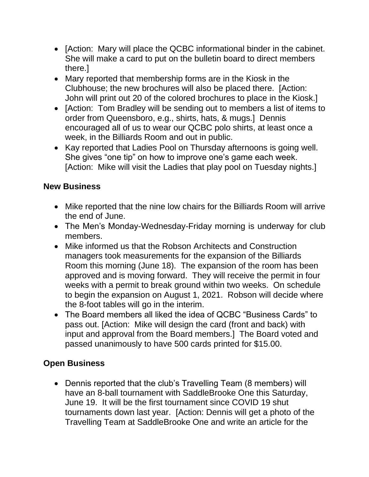- [Action: Mary will place the QCBC informational binder in the cabinet. She will make a card to put on the bulletin board to direct members there.]
- Mary reported that membership forms are in the Kiosk in the Clubhouse; the new brochures will also be placed there. [Action: John will print out 20 of the colored brochures to place in the Kiosk.]
- [Action: Tom Bradley will be sending out to members a list of items to order from Queensboro, e.g., shirts, hats, & mugs.] Dennis encouraged all of us to wear our QCBC polo shirts, at least once a week, in the Billiards Room and out in public.
- Kay reported that Ladies Pool on Thursday afternoons is going well. She gives "one tip" on how to improve one's game each week. [Action: Mike will visit the Ladies that play pool on Tuesday nights.]

## **New Business**

- Mike reported that the nine low chairs for the Billiards Room will arrive the end of June.
- The Men's Monday-Wednesday-Friday morning is underway for club members.
- Mike informed us that the Robson Architects and Construction managers took measurements for the expansion of the Billiards Room this morning (June 18). The expansion of the room has been approved and is moving forward. They will receive the permit in four weeks with a permit to break ground within two weeks. On schedule to begin the expansion on August 1, 2021. Robson will decide where the 8-foot tables will go in the interim.
- The Board members all liked the idea of QCBC "Business Cards" to pass out. [Action: Mike will design the card (front and back) with input and approval from the Board members.] The Board voted and passed unanimously to have 500 cards printed for \$15.00.

## **Open Business**

• Dennis reported that the club's Travelling Team (8 members) will have an 8-ball tournament with SaddleBrooke One this Saturday, June 19. It will be the first tournament since COVID 19 shut tournaments down last year. [Action: Dennis will get a photo of the Travelling Team at SaddleBrooke One and write an article for the